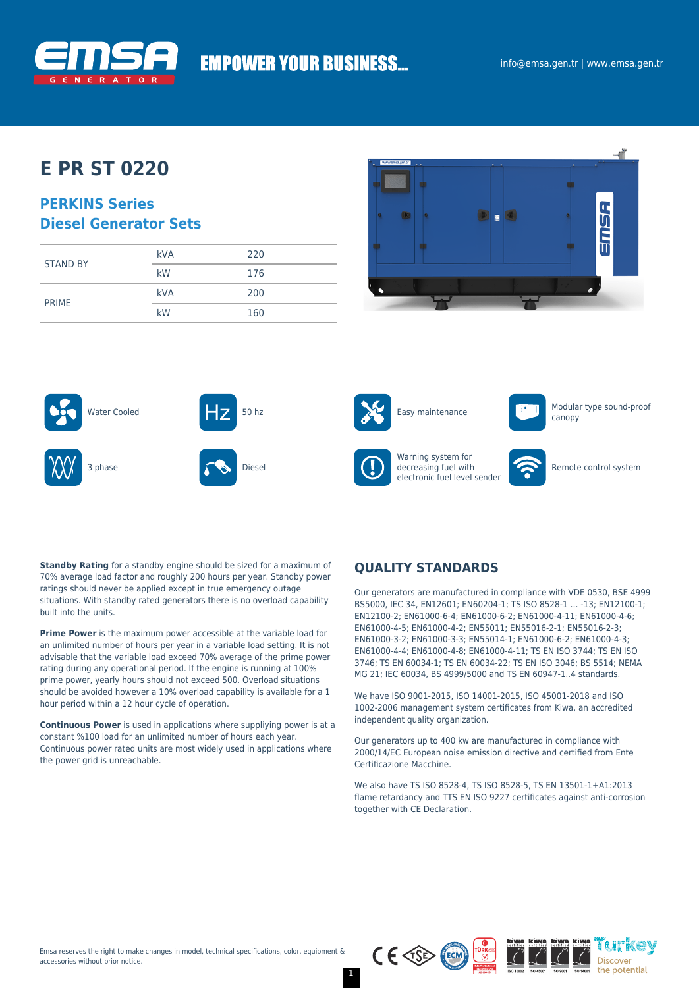

# **EMPOWER YOUR BUSINESS...**

### **E PR ST 0220**

### **PERKINS Series Diesel Generator Sets**

|                 | <b>kVA</b> | 220 |
|-----------------|------------|-----|
| <b>STAND BY</b> | kW         | 176 |
| <b>PRIME</b>    | <b>kVA</b> | 200 |
|                 | kW         | 160 |





**Standby Rating** for a standby engine should be sized for a maximum of 70% average load factor and roughly 200 hours per year. Standby power ratings should never be applied except in true emergency outage situations. With standby rated generators there is no overload capability built into the units.

**Prime Power** is the maximum power accessible at the variable load for an unlimited number of hours per year in a variable load setting. It is not advisable that the variable load exceed 70% average of the prime power rating during any operational period. If the engine is running at 100% prime power, yearly hours should not exceed 500. Overload situations should be avoided however a 10% overload capability is available for a 1 hour period within a 12 hour cycle of operation.

**Continuous Power** is used in applications where suppliying power is at a constant %100 load for an unlimited number of hours each year. Continuous power rated units are most widely used in applications where the power grid is unreachable.



Warning system for decreasing fuel with electronic fuel level sender





canopy



Remote control system

#### **QUALITY STANDARDS**

Our generators are manufactured in compliance with VDE 0530, BSE 4999 BS5000, IEC 34, EN12601; EN60204-1; TS ISO 8528-1 … -13; EN12100-1; EN12100-2; EN61000-6-4; EN61000-6-2; EN61000-4-11; EN61000-4-6; EN61000-4-5; EN61000-4-2; EN55011; EN55016-2-1; EN55016-2-3; EN61000-3-2; EN61000-3-3; EN55014-1; EN61000-6-2; EN61000-4-3; EN61000-4-4; EN61000-4-8; EN61000-4-11; TS EN ISO 3744; TS EN ISO 3746; TS EN 60034-1; TS EN 60034-22; TS EN ISO 3046; BS 5514; NEMA MG 21; IEC 60034, BS 4999/5000 and TS EN 60947-1..4 standards.

We have ISO 9001-2015, ISO 14001-2015, ISO 45001-2018 and ISO 1002-2006 management system certificates from Kiwa, an accredited independent quality organization.

Our generators up to 400 kw are manufactured in compliance with 2000/14/EC European noise emission directive and certified from Ente Certificazione Macchine.

We also have TS ISO 8528-4, TS ISO 8528-5, TS EN 13501-1+A1:2013 flame retardancy and TTS EN ISO 9227 certificates against anti-corrosion together with CE Declaration.

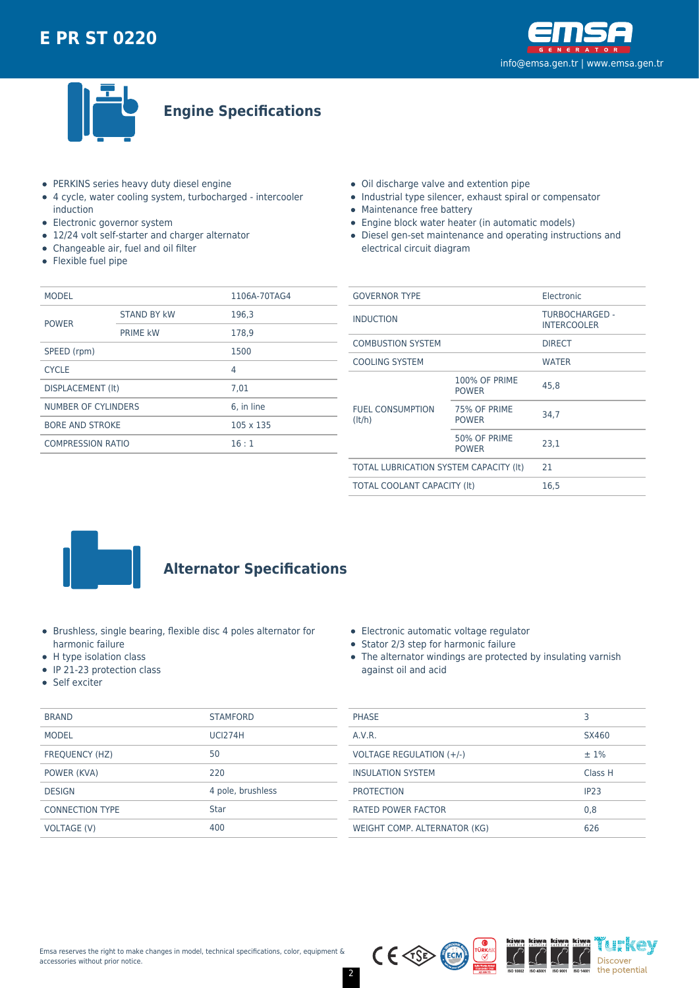



**Engine Specifications**

- PERKINS series heavy duty diesel engine
- 4 cycle, water cooling system, turbocharged intercooler induction
- Electronic governor system
- 12/24 volt self-starter and charger alternator
- Changeable air, fuel and oil filter
- Flexible fuel pipe
- Oil discharge valve and extention pipe
- Industrial type silencer, exhaust spiral or compensator
- Maintenance free battery
- Engine block water heater (in automatic models)
- Diesel gen-set maintenance and operating instructions and electrical circuit diagram

| <b>MODEL</b>               |                    | 1106A-70TAG4 |  |
|----------------------------|--------------------|--------------|--|
| <b>POWER</b>               | <b>STAND BY kW</b> | 196.3        |  |
|                            | <b>PRIME kW</b>    | 178.9        |  |
| SPEED (rpm)                |                    | 1500         |  |
| <b>CYCLE</b>               |                    | 4            |  |
| DISPLACEMENT (It)          |                    | 7.01         |  |
| <b>NUMBER OF CYLINDERS</b> |                    | 6. in line   |  |
| <b>BORE AND STROKE</b>     |                    | 105 x 135    |  |
| <b>COMPRESSION RATIO</b>   |                    | 16:1         |  |
|                            |                    |              |  |

| <b>GOVERNOR TYPE</b>                   |                                      | Electronic                           |  |
|----------------------------------------|--------------------------------------|--------------------------------------|--|
| <b>INDUCTION</b>                       |                                      | TURBOCHARGED -<br><b>INTERCOOLER</b> |  |
| <b>COMBUSTION SYSTEM</b>               |                                      | <b>DIRECT</b>                        |  |
| <b>COOLING SYSTEM</b>                  |                                      | <b>WATER</b>                         |  |
| <b>FUEL CONSUMPTION</b><br>(lt/h)      | <b>100% OF PRIME</b><br><b>POWER</b> | 45,8                                 |  |
|                                        | 75% OF PRIME<br><b>POWER</b>         | 34.7                                 |  |
|                                        | 50% OF PRIME<br><b>POWER</b>         | 23.1                                 |  |
| TOTAL LUBRICATION SYSTEM CAPACITY (It) |                                      | 21                                   |  |
| <b>TOTAL COOLANT CAPACITY (It)</b>     |                                      | 16,5                                 |  |
|                                        |                                      |                                      |  |



## **Alternator Specifications**

- Brushless, single bearing, flexible disc 4 poles alternator for harmonic failure
- H type isolation class
- IP 21-23 protection class
- Self exciter

|  | • Electronic automatic voltage regulator |
|--|------------------------------------------|
|  | • Stator 2/3 step for harmonic failure   |

The alternator windings are protected by insulating varnish against oil and acid

| <b>BRAND</b>           | <b>STAMFORD</b>   | <b>PHASE</b>                    |              |
|------------------------|-------------------|---------------------------------|--------------|
| <b>MODEL</b>           | <b>UCI274H</b>    | A.V.R.                          | <b>SX460</b> |
| FREQUENCY (HZ)         | 50                | <b>VOLTAGE REGULATION (+/-)</b> | $±1\%$       |
| POWER (KVA)            | 220               | <b>INSULATION SYSTEM</b>        | <b>Class</b> |
| <b>DESIGN</b>          | 4 pole, brushless | <b>PROTECTION</b>               | IP23         |
| <b>CONNECTION TYPE</b> | <b>Star</b>       | <b>RATED POWER FACTOR</b>       | 0,8          |
| VOLTAGE (V)            | 400               | WEIGHT COMP. ALTERNATOR (KG)    | 626          |
|                        |                   |                                 |              |



Class H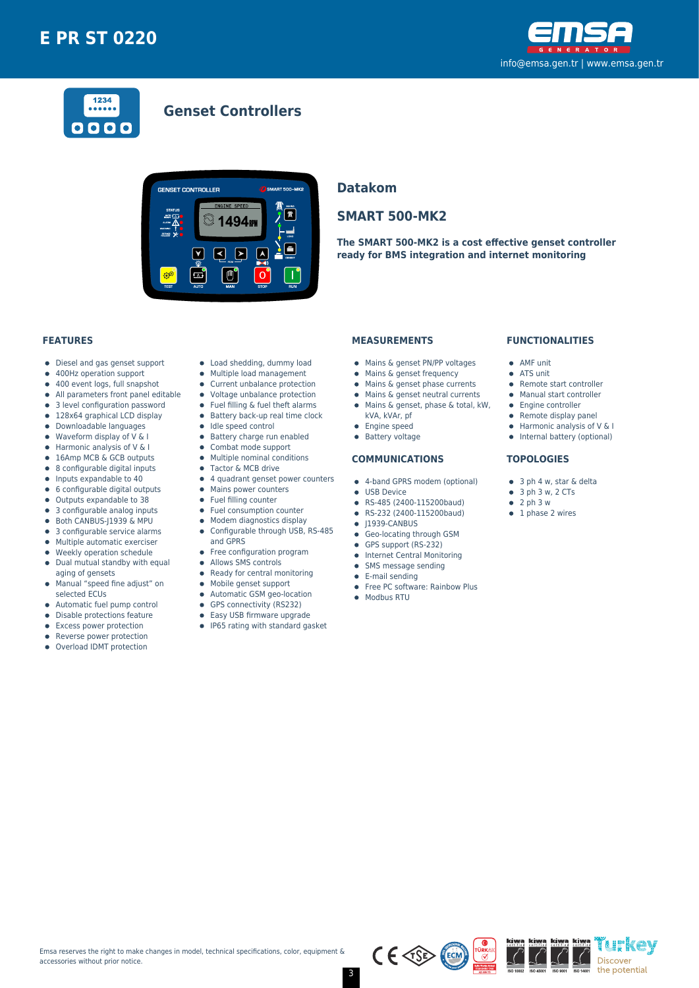



### **Genset Controllers**



#### **Datakom**

#### **SMART 500-MK2**

**The SMART 500-MK2 is a cost effective genset controller ready for BMS integration and internet monitoring**

#### **FEATURES**

- Diesel and gas genset support  $\bullet$
- 400Hz operation support  $\bullet$
- $\bullet$ 400 event logs, full snapshot
- All parameters front panel editable  $\bullet$
- 3 level configuration password
- 128x64 graphical LCD display  $\bullet$
- Downloadable languages
- $\bullet$ Waveform display of V & I
- Harmonic analysis of V & I  $\bullet$
- 16Amp MCB & GCB outputs 8 configurable digital inputs  $\bullet$
- $\bullet$
- Inputs expandable to 40  $\bullet$
- 6 configurable digital outputs Outputs expandable to 38  $\bullet$
- 3 configurable analog inputs
- Both CANBUS-J1939 & MPU  $\bullet$
- 3 configurable service alarms  $\bullet$
- $\bullet$ Multiple automatic exerciser
- Weekly operation schedule  $\blacksquare$
- $\bullet$ Dual mutual standby with equal aging of gensets
- Manual "speed fine adjust" on  $\bullet$ selected ECUs
- 
- Automatic fuel pump control  $\bullet$
- $\bullet$ Disable protections feature
- Excess power protection • Reverse power protection
- $\bullet$
- Overload IDMT protection
- Load shedding, dummy load
- Multiple load management  $\bullet$
- Current unbalance protection
- Voltage unbalance protection
- $\bullet$ Fuel filling & fuel theft alarms
- $\bullet$  Battery back-up real time clock
- $\bullet$  Idle speed control
- **•** Battery charge run enabled
- $\bullet$ Combat mode support
- $\bullet$ Multiple nominal conditions
- Tactor & MCB drive
- 4 quadrant genset power counters
- Mains power counters
- Fuel filling counter  $\bullet$ Fuel consumption counter
- $\bullet$
- Modem diagnostics display Configurable through USB, RS-485  $\bullet$
- and GPRS
- Free configuration program
- $\bullet$ Allows SMS controls
- $\bullet$ Ready for central monitoring
- Mobile genset support  $\bullet$
- 
- Automatic GSM geo-location  $\bullet$
- $\bullet$ GPS connectivity (RS232)
- $\bullet$ Easy USB firmware upgrade
- IP65 rating with standard gasket

#### **MEASUREMENTS**

- Mains & genset PN/PP voltages
- Mains & genset frequency
- $\bullet$  Mains & genset phase currents
- Mains & genset neutral currents  $\bullet$
- Mains & genset, phase & total, kW,
- kVA, kVAr, pf
- 
- **•** Engine speed
- **•** Battery voltage

#### **COMMUNICATIONS**

- 4-band GPRS modem (optional)
- **CONTRACTED**
- RS-485 (2400-115200baud)
- RS-232 (2400-115200baud)  $\bullet$
- $\bullet$  J1939-CANBUS
- **Geo-locating through GSM**
- GPS support (RS-232)
- **•** Internet Central Monitoring
- SMS message sending  $\bullet$
- E-mail sending
- Free PC software: Rainbow Plus
- Modbus RTU

#### **FUNCTIONALITIES**

- AMF unit
- ATS unit
- Remote start controller
- Manual start controller
- Engine controller
- $\bullet$  Remote display panel
- $\bullet$  Harmonic analysis of V & I
- Internal battery (optional)

#### **TOPOLOGIES**

- 3 ph 4 w, star & delta
- $\bullet$  3 ph 3 w, 2 CTs
- $\bullet$  2 ph 3 w
- $\bullet$  1 phase 2 wires



'i h'kev

Discover the potential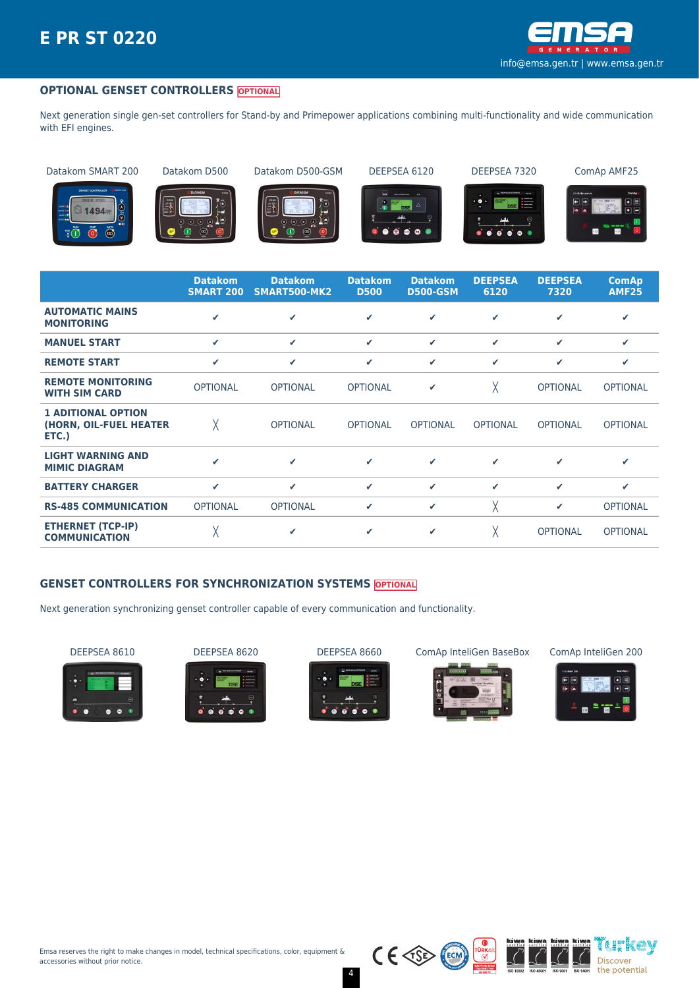

#### **OPTIONAL GENSET CONTROLLERS OPTIONAL**

Next generation single gen-set controllers for Stand-by and Primepower applications combining multi-functionality and wide communication with EFI engines.

Datakom SMART 200 Datakom D500 Datakom D500-GSM DEEPSEA 6120 DEEPSEA 7320 ComAp AMF25

















|                                                              | <b>Datakom</b><br><b>SMART 200</b> | <b>Datakom</b><br>SMART500-MK2 | <b>Datakom</b><br><b>D500</b> | <b>Datakom</b><br><b>D500-GSM</b> | <b>DEEPSEA</b><br>6120 | <b>DEEPSEA</b><br>7320 | <b>ComAp</b><br><b>AMF25</b> |
|--------------------------------------------------------------|------------------------------------|--------------------------------|-------------------------------|-----------------------------------|------------------------|------------------------|------------------------------|
| <b>AUTOMATIC MAINS</b><br><b>MONITORING</b>                  | ✔                                  | ✓                              | ✓                             | ✔                                 | ✔                      | ✔                      | ✔                            |
| <b>MANUEL START</b>                                          | $\checkmark$                       | $\checkmark$                   | $\checkmark$                  | ✓                                 | ✓                      | ✓                      | ✔                            |
| <b>REMOTE START</b>                                          | ✓                                  | $\checkmark$                   | ✓                             | ✓                                 | ✓                      | ✓                      | ✓                            |
| <b>REMOTE MONITORING</b><br><b>WITH SIM CARD</b>             | <b>OPTIONAL</b>                    | <b>OPTIONAL</b>                | <b>OPTIONAL</b>               | ✔                                 | χ                      | <b>OPTIONAL</b>        | <b>OPTIONAL</b>              |
| <b>1 ADITIONAL OPTION</b><br>(HORN, OIL-FUEL HEATER<br>ETC.) | χ                                  | <b>OPTIONAL</b>                | <b>OPTIONAL</b>               | <b>OPTIONAL</b>                   | <b>OPTIONAL</b>        | <b>OPTIONAL</b>        | <b>OPTIONAL</b>              |
| <b>LIGHT WARNING AND</b><br><b>MIMIC DIAGRAM</b>             | ✔                                  | ✓                              | ✓                             | ✔                                 | ✓                      | ✔                      | ✔                            |
| <b>BATTERY CHARGER</b>                                       | $\checkmark$                       | $\checkmark$                   | ✓                             | ✓                                 | ✓                      | ✔                      | ✔                            |
| <b>RS-485 COMMUNICATION</b>                                  | <b>OPTIONAL</b>                    | <b>OPTIONAL</b>                | ✓                             | ✓                                 | χ                      | ✔                      | <b>OPTIONAL</b>              |
| <b>ETHERNET (TCP-IP)</b><br><b>COMMUNICATION</b>             | χ                                  | ✓                              | ✓                             | ✓                                 | χ                      | <b>OPTIONAL</b>        | <b>OPTIONAL</b>              |

#### **GENSET CONTROLLERS FOR SYNCHRONIZATION SYSTEMS OPTIONAL**

Next generation synchronizing genset controller capable of every communication and functionality.







4